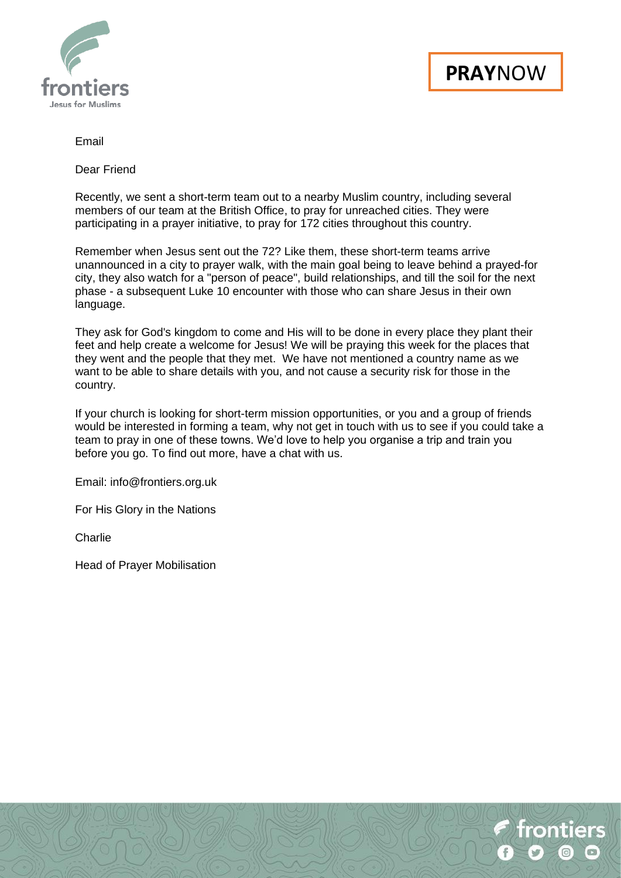



#### Email

Dear Friend

Recently, we sent a short-term team out to a nearby Muslim country, including several members of our team at the British Office, to pray for unreached cities. They were participating in a prayer initiative, to pray for 172 cities throughout this country.

Remember when Jesus sent out the 72? Like them, these short-term teams arrive unannounced in a city to prayer walk, with the main goal being to leave behind a prayed-for city, they also watch for a "person of peace", build relationships, and till the soil for the next phase - a subsequent Luke 10 encounter with those who can share Jesus in their own language.

They ask for God's kingdom to come and His will to be done in every place they plant their feet and help create a welcome for Jesus! We will be praying this week for the places that they went and the people that they met. We have not mentioned a country name as we want to be able to share details with you, and not cause a security risk for those in the country.

If your church is looking for short-term mission opportunities, or you and a group of friends would be interested in forming a team, why not get in touch with us to see if you could take a team to pray in one of these towns. We'd love to help you organise a trip and train you before you go. To find out more, have a chat with us.

Email: [info@frontiers.org.uk](mailto:info@frontiers.org.uk)

For His Glory in the Nations

Charlie

Head of Prayer Mobilisation

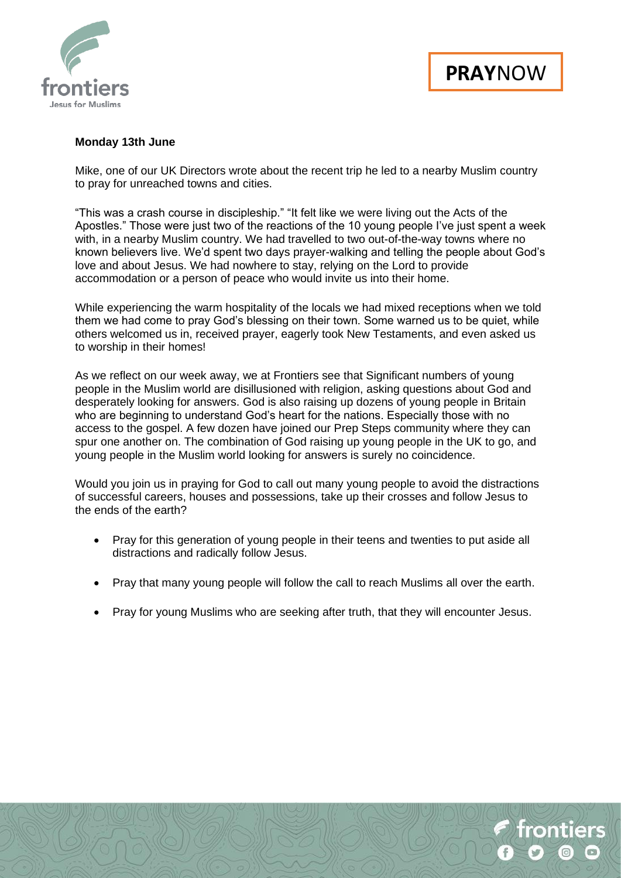

## **Monday 13th June**

Mike, one of our UK Directors wrote about the recent trip he led to a nearby Muslim country to pray for unreached towns and cities.

"This was a crash course in discipleship." "It felt like we were living out the Acts of the Apostles." Those were just two of the reactions of the 10 young people I've just spent a week with, in a nearby Muslim country. We had travelled to two out-of-the-way towns where no known believers live. We'd spent two days prayer-walking and telling the people about God's love and about Jesus. We had nowhere to stay, relying on the Lord to provide accommodation or a person of peace who would invite us into their home.

While experiencing the warm hospitality of the locals we had mixed receptions when we told them we had come to pray God's blessing on their town. Some warned us to be quiet, while others welcomed us in, received prayer, eagerly took New Testaments, and even asked us to worship in their homes!

As we reflect on our week away, we at Frontiers see that Significant numbers of young people in the Muslim world are disillusioned with religion, asking questions about God and desperately looking for answers. God is also raising up dozens of young people in Britain who are beginning to understand God's heart for the nations. Especially those with no access to the gospel. A few dozen have joined our Prep Steps community where they can spur one another on. The combination of God raising up young people in the UK to go, and young people in the Muslim world looking for answers is surely no coincidence.

Would you join us in praying for God to call out many young people to avoid the distractions of successful careers, houses and possessions, take up their crosses and follow Jesus to the ends of the earth?

- Pray for this generation of young people in their teens and twenties to put aside all distractions and radically follow Jesus.
- Pray that many young people will follow the call to reach Muslims all over the earth.
- Pray for young Muslims who are seeking after truth, that they will encounter Jesus.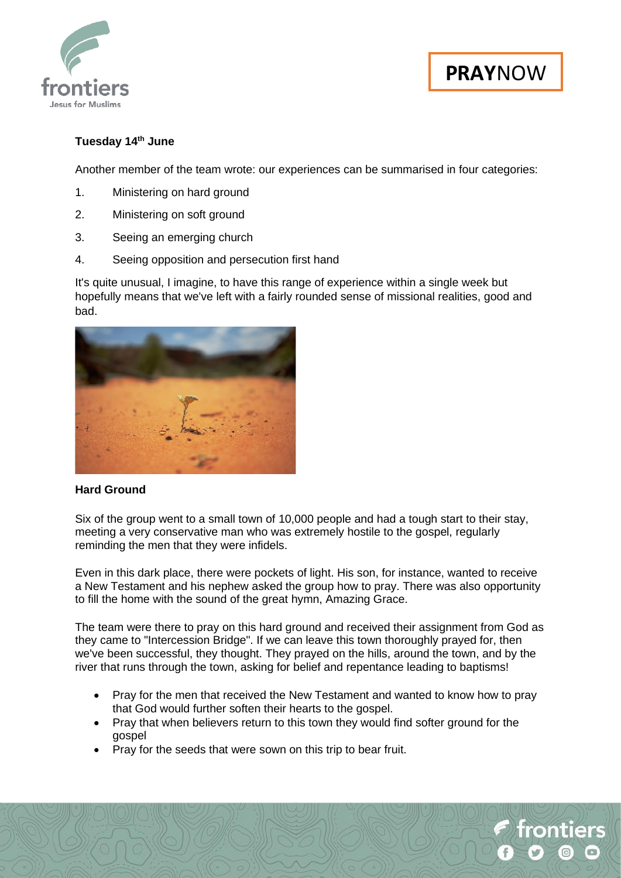

rontiers

## **Tuesday 14th June**

Another member of the team wrote: our experiences can be summarised in four categories:

- 1. Ministering on hard ground
- 2. Ministering on soft ground
- 3. Seeing an emerging church
- 4. Seeing opposition and persecution first hand

It's quite unusual, I imagine, to have this range of experience within a single week but hopefully means that we've left with a fairly rounded sense of missional realities, good and bad.



#### **Hard Ground**

Six of the group went to a small town of 10,000 people and had a tough start to their stay, meeting a very conservative man who was extremely hostile to the gospel, regularly reminding the men that they were infidels.

Even in this dark place, there were pockets of light. His son, for instance, wanted to receive a New Testament and his nephew asked the group how to pray. There was also opportunity to fill the home with the sound of the great hymn, Amazing Grace.

The team were there to pray on this hard ground and received their assignment from God as they came to "Intercession Bridge". If we can leave this town thoroughly prayed for, then we've been successful, they thought. They prayed on the hills, around the town, and by the river that runs through the town, asking for belief and repentance leading to baptisms!

- Pray for the men that received the New Testament and wanted to know how to pray that God would further soften their hearts to the gospel.
- Pray that when believers return to this town they would find softer ground for the gospel
- Pray for the seeds that were sown on this trip to bear fruit.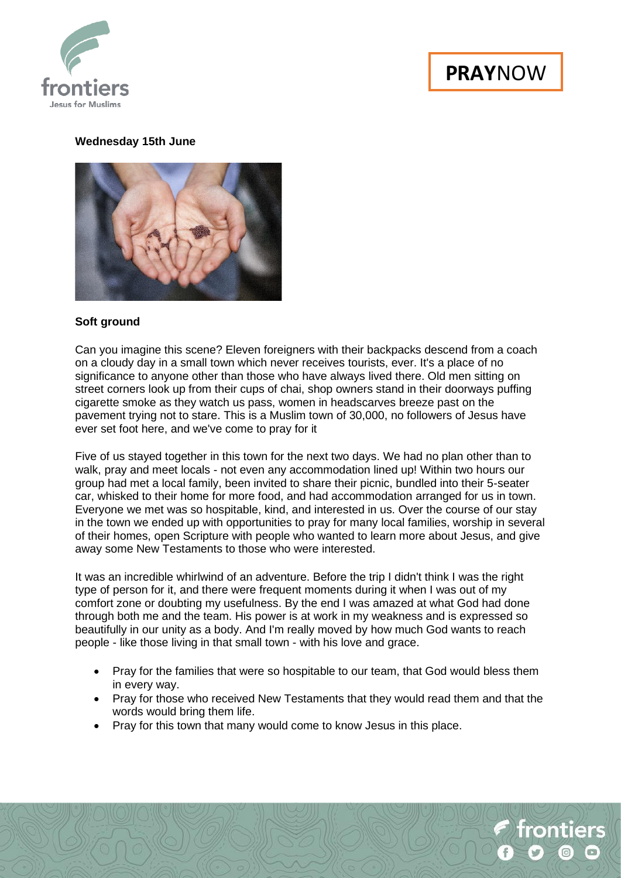

# **PRAY**NOW

## **Wednesday 15th June**



#### **Soft ground**

Can you imagine this scene? Eleven foreigners with their backpacks descend from a coach on a cloudy day in a small town which never receives tourists, ever. It's a place of no significance to anyone other than those who have always lived there. Old men sitting on street corners look up from their cups of chai, shop owners stand in their doorways puffing cigarette smoke as they watch us pass, women in headscarves breeze past on the pavement trying not to stare. This is a Muslim town of 30,000, no followers of Jesus have ever set foot here, and we've come to pray for it

Five of us stayed together in this town for the next two days. We had no plan other than to walk, pray and meet locals - not even any accommodation lined up! Within two hours our group had met a local family, been invited to share their picnic, bundled into their 5-seater car, whisked to their home for more food, and had accommodation arranged for us in town. Everyone we met was so hospitable, kind, and interested in us. Over the course of our stay in the town we ended up with opportunities to pray for many local families, worship in several of their homes, open Scripture with people who wanted to learn more about Jesus, and give away some New Testaments to those who were interested.

It was an incredible whirlwind of an adventure. Before the trip I didn't think I was the right type of person for it, and there were frequent moments during it when I was out of my comfort zone or doubting my usefulness. By the end I was amazed at what God had done through both me and the team. His power is at work in my weakness and is expressed so beautifully in our unity as a body. And I'm really moved by how much God wants to reach people - like those living in that small town - with his love and grace.

- Pray for the families that were so hospitable to our team, that God would bless them in every way.
- Pray for those who received New Testaments that they would read them and that the words would bring them life.
- Pray for this town that many would come to know Jesus in this place.

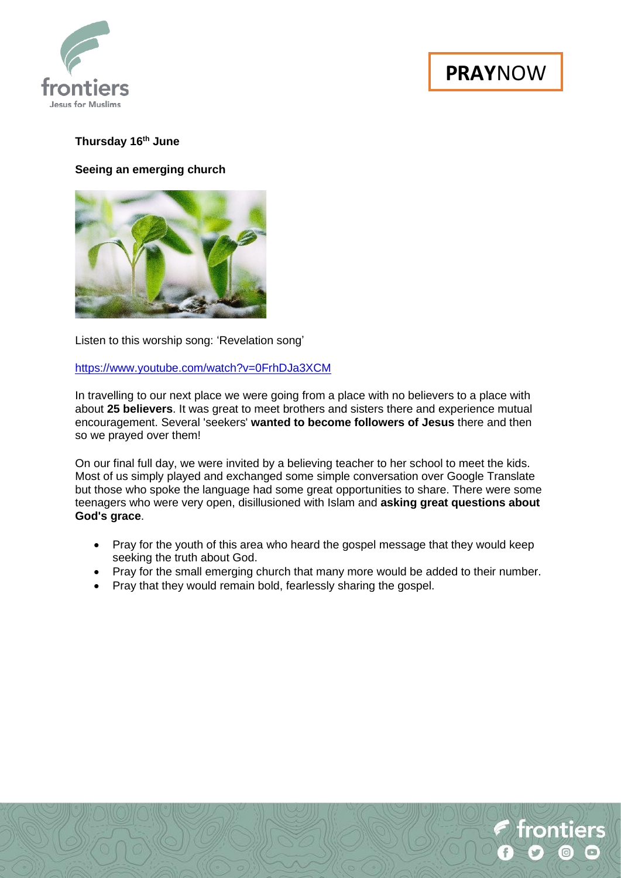

## **Thursday 16th June**

### **Seeing an emerging church**



Listen to this worship song: 'Revelation song'

#### <https://www.youtube.com/watch?v=0FrhDJa3XCM>

In travelling to our next place we were going from a place with no believers to a place with about **25 believers**. It was great to meet brothers and sisters there and experience mutual encouragement. Several 'seekers' **wanted to become followers of Jesus** there and then so we prayed over them!

On our final full day, we were invited by a believing teacher to her school to meet the kids. Most of us simply played and exchanged some simple conversation over Google Translate but those who spoke the language had some great opportunities to share. There were some teenagers who were very open, disillusioned with Islam and **asking great questions about God's grace**.

- Pray for the youth of this area who heard the gospel message that they would keep seeking the truth about God.
- Pray for the small emerging church that many more would be added to their number.
- Pray that they would remain bold, fearlessly sharing the gospel.

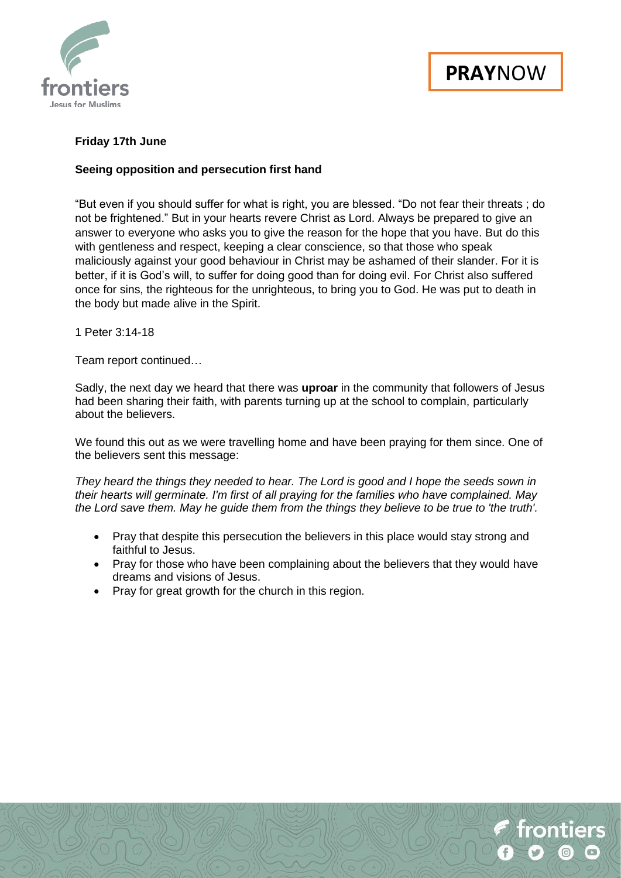



## **Friday 17th June**

#### **Seeing opposition and persecution first hand**

"But even if you should suffer for what is right, you are blessed. "Do not fear their threats ; do not be frightened." But in your hearts revere Christ as Lord. Always be prepared to give an answer to everyone who asks you to give the reason for the hope that you have. But do this with gentleness and respect, keeping a clear conscience, so that those who speak maliciously against your good behaviour in Christ may be ashamed of their slander. For it is better, if it is God's will, to suffer for doing good than for doing evil. For Christ also suffered once for sins, the righteous for the unrighteous, to bring you to God. He was put to death in the body but made alive in the Spirit.

1 Peter 3:14-18

Team report continued…

Sadly, the next day we heard that there was **uproar** in the community that followers of Jesus had been sharing their faith, with parents turning up at the school to complain, particularly about the believers.

We found this out as we were travelling home and have been praying for them since. One of the believers sent this message:

*They heard the things they needed to hear. The Lord is good and I hope the seeds sown in their hearts will germinate. I'm first of all praying for the families who have complained. May the Lord save them. May he guide them from the things they believe to be true to 'the truth'.*

- Pray that despite this persecution the believers in this place would stay strong and faithful to Jesus.
- Pray for those who have been complaining about the believers that they would have dreams and visions of Jesus.
- Pray for great growth for the church in this region.